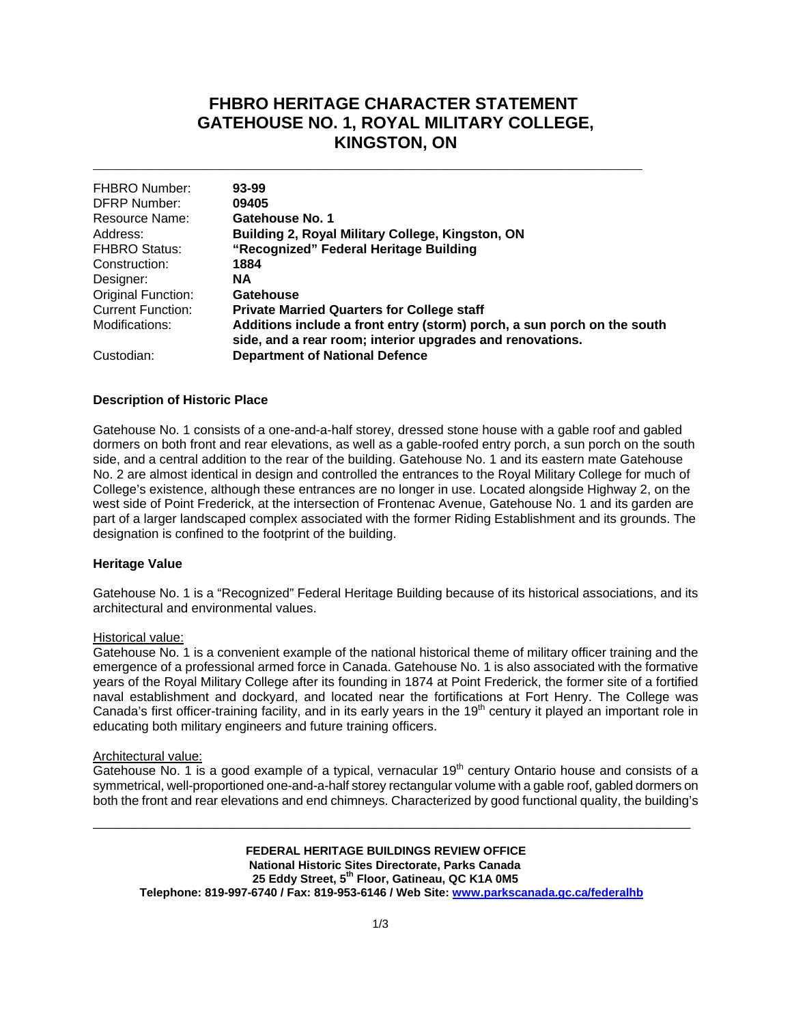## **FHBRO HERITAGE CHARACTER STATEMENT GATEHOUSE NO. 1, ROYAL MILITARY COLLEGE, KINGSTON, ON**

| <b>FHBRO Number:</b>     | 93-99                                                                   |
|--------------------------|-------------------------------------------------------------------------|
| <b>DFRP Number:</b>      | 09405                                                                   |
| Resource Name:           | Gatehouse No. 1                                                         |
| Address:                 | Building 2, Royal Military College, Kingston, ON                        |
| <b>FHBRO Status:</b>     | "Recognized" Federal Heritage Building                                  |
| Construction:            | 1884                                                                    |
| Designer:                | <b>NA</b>                                                               |
| Original Function:       | Gatehouse                                                               |
| <b>Current Function:</b> | <b>Private Married Quarters for College staff</b>                       |
| Modifications:           | Additions include a front entry (storm) porch, a sun porch on the south |
|                          | side, and a rear room; interior upgrades and renovations.               |
| Custodian:               | <b>Department of National Defence</b>                                   |

**\_\_\_\_\_\_\_\_\_\_\_\_\_\_\_\_\_\_\_\_\_\_\_\_\_\_\_\_\_\_\_\_\_\_\_\_\_\_\_\_\_\_\_\_\_\_\_\_\_\_\_\_\_\_\_\_\_\_\_**

### **Description of Historic Place**

Gatehouse No. 1 consists of a one-and-a-half storey, dressed stone house with a gable roof and gabled dormers on both front and rear elevations, as well as a gable-roofed entry porch, a sun porch on the south side, and a central addition to the rear of the building. Gatehouse No. 1 and its eastern mate Gatehouse No. 2 are almost identical in design and controlled the entrances to the Royal Military College for much of College's existence, although these entrances are no longer in use. Located alongside Highway 2, on the west side of Point Frederick, at the intersection of Frontenac Avenue, Gatehouse No. 1 and its garden are part of a larger landscaped complex associated with the former Riding Establishment and its grounds. The designation is confined to the footprint of the building.

### **Heritage Value**

Gatehouse No. 1 is a "Recognized" Federal Heritage Building because of its historical associations, and its architectural and environmental values.

#### Historical value:

Gatehouse No. 1 is a convenient example of the national historical theme of military officer training and the emergence of a professional armed force in Canada. Gatehouse No. 1 is also associated with the formative years of the Royal Military College after its founding in 1874 at Point Frederick, the former site of a fortified naval establishment and dockyard, and located near the fortifications at Fort Henry. The College was Canada's first officer-training facility, and in its early years in the 19<sup>th</sup> century it played an important role in educating both military engineers and future training officers.

### Architectural value:

Gatehouse No. 1 is a good example of a typical, vernacular  $19<sup>th</sup>$  century Ontario house and consists of a symmetrical, well-proportioned one-and-a-half storey rectangular volume with a gable roof, gabled dormers on both the front and rear elevations and end chimneys. Characterized by good functional quality, the building's

\_\_\_\_\_\_\_\_\_\_\_\_\_\_\_\_\_\_\_\_\_\_\_\_\_\_\_\_\_\_\_\_\_\_\_\_\_\_\_\_\_\_\_\_\_\_\_\_\_\_\_\_\_\_\_\_\_\_\_\_\_\_\_\_\_\_\_\_\_\_\_\_\_\_\_\_\_

**FEDERAL HERITAGE BUILDINGS REVIEW OFFICE National Historic Sites Directorate, Parks Canada** 25 Eddy Street, 5<sup>th</sup> Floor, Gatineau, QC K1A 0M5 **Telephone: 819-997-6740 / Fax: 819-953-6146 / Web Site: www.parkscanada.gc.ca/federalhb**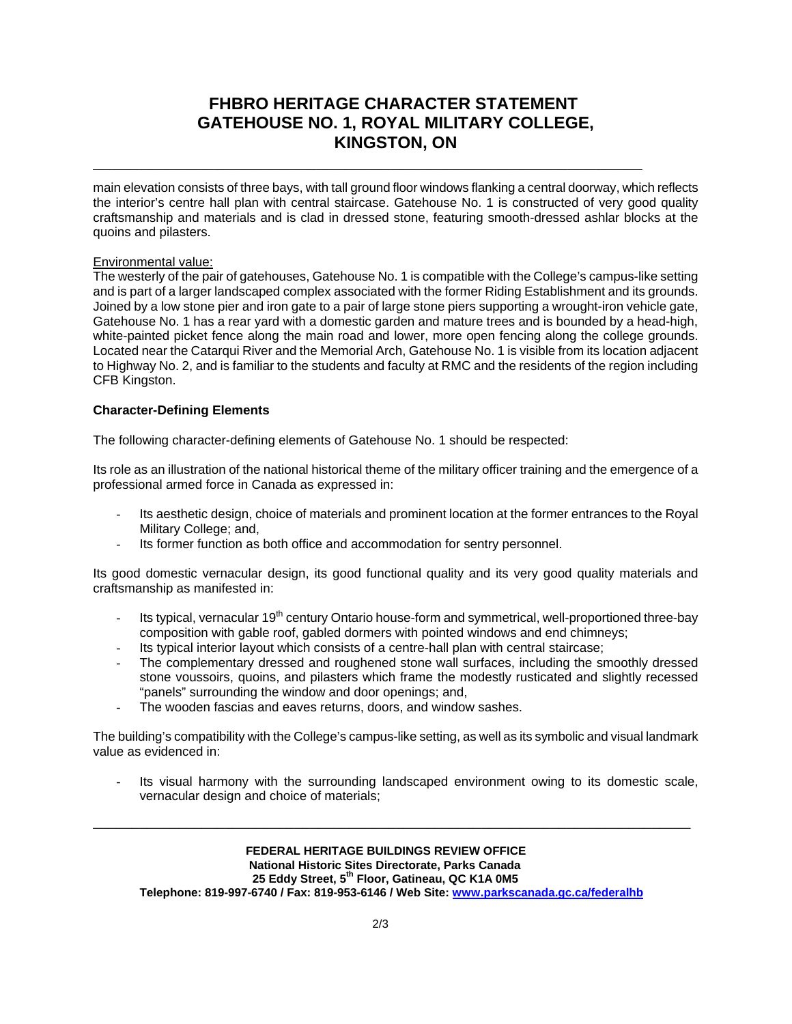# **FHBRO HERITAGE CHARACTER STATEMENT GATEHOUSE NO. 1, ROYAL MILITARY COLLEGE, KINGSTON, ON**

**\_\_\_\_\_\_\_\_\_\_\_\_\_\_\_\_\_\_\_\_\_\_\_\_\_\_\_\_\_\_\_\_\_\_\_\_\_\_\_\_\_\_\_\_\_\_\_\_\_\_\_\_\_\_\_\_\_\_\_**

main elevation consists of three bays, with tall ground floor windows flanking a central doorway, which reflects the interior's centre hall plan with central staircase. Gatehouse No. 1 is constructed of very good quality craftsmanship and materials and is clad in dressed stone, featuring smooth-dressed ashlar blocks at the quoins and pilasters.

### Environmental value:

The westerly of the pair of gatehouses, Gatehouse No. 1 is compatible with the College's campus-like setting and is part of a larger landscaped complex associated with the former Riding Establishment and its grounds. Joined by a low stone pier and iron gate to a pair of large stone piers supporting a wrought-iron vehicle gate, Gatehouse No. 1 has a rear yard with a domestic garden and mature trees and is bounded by a head-high, white-painted picket fence along the main road and lower, more open fencing along the college grounds. Located near the Catarqui River and the Memorial Arch, Gatehouse No. 1 is visible from its location adjacent to Highway No. 2, and is familiar to the students and faculty at RMC and the residents of the region including CFB Kingston.

### **Character-Defining Elements**

The following character-defining elements of Gatehouse No. 1 should be respected:

Its role as an illustration of the national historical theme of the military officer training and the emergence of a professional armed force in Canada as expressed in:

- Its aesthetic design, choice of materials and prominent location at the former entrances to the Royal Military College; and,
- Its former function as both office and accommodation for sentry personnel.

Its good domestic vernacular design, its good functional quality and its very good quality materials and craftsmanship as manifested in:

- Its typical, vernacular 19<sup>th</sup> century Ontario house-form and symmetrical, well-proportioned three-bay composition with gable roof, gabled dormers with pointed windows and end chimneys;
- Its typical interior layout which consists of a centre-hall plan with central staircase;
- The complementary dressed and roughened stone wall surfaces, including the smoothly dressed stone voussoirs, quoins, and pilasters which frame the modestly rusticated and slightly recessed "panels" surrounding the window and door openings; and,
- The wooden fascias and eaves returns, doors, and window sashes.

The building's compatibility with the College's campus-like setting, as well as its symbolic and visual landmark value as evidenced in:

Its visual harmony with the surrounding landscaped environment owing to its domestic scale, vernacular design and choice of materials;

\_\_\_\_\_\_\_\_\_\_\_\_\_\_\_\_\_\_\_\_\_\_\_\_\_\_\_\_\_\_\_\_\_\_\_\_\_\_\_\_\_\_\_\_\_\_\_\_\_\_\_\_\_\_\_\_\_\_\_\_\_\_\_\_\_\_\_\_\_\_\_\_\_\_\_\_\_